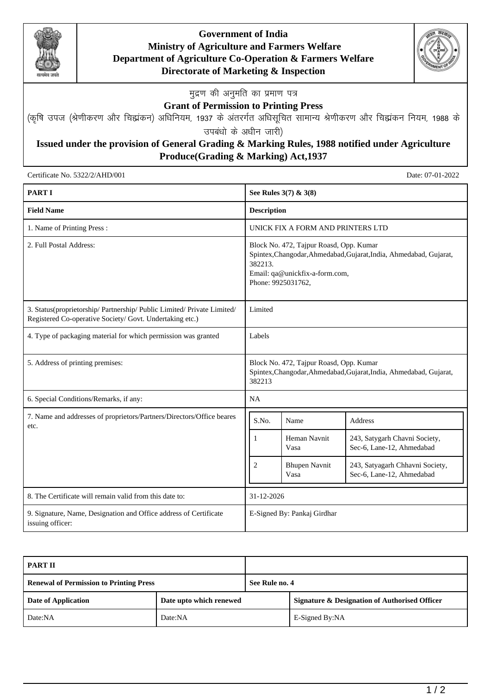

## **Government of India Ministry of Agriculture and Farmers Welfare Department of Agriculture Co-Operation & Farmers Welfare Directorate of Marketing & Inspection**



**मुद्रण की अनुमति का प्रमाण पत्र** 

## **Grant of Permission to Printing Press**

(कृषि उपज (श्रेणीकरण और चिह्मकन) अधिनियम, 1937 के अंतरर्गत अधिसूचित सामान्य श्रेणीकरण और चिह्मकन नियम, 1988 के उपबंधो के अधीन जारी)

## **Issued under the provision of General Grading & Marking Rules, 1988 notified under Agriculture Produce(Grading & Marking) Act,1937**

Certificate No. 5322/2/AHD/001 Date: 07-01-2022

| <b>PART I</b>                                                                                                                       |                                                                                                                                                                                  | See Rules 3(7) & 3(8)             |                                                              |
|-------------------------------------------------------------------------------------------------------------------------------------|----------------------------------------------------------------------------------------------------------------------------------------------------------------------------------|-----------------------------------|--------------------------------------------------------------|
| <b>Field Name</b>                                                                                                                   | <b>Description</b>                                                                                                                                                               |                                   |                                                              |
| 1. Name of Printing Press:                                                                                                          |                                                                                                                                                                                  | UNICK FIX A FORM AND PRINTERS LTD |                                                              |
| 2. Full Postal Address:                                                                                                             | Block No. 472, Tajpur Roasd, Opp. Kumar<br>Spintex, Changodar, Ahmedabad, Gujarat, India, Ahmedabad, Gujarat,<br>382213.<br>Email: qa@unickfix-a-form.com,<br>Phone: 9925031762, |                                   |                                                              |
| 3. Status(proprietorship/ Partnership/ Public Limited/ Private Limited/<br>Registered Co-operative Society/ Govt. Undertaking etc.) | Limited                                                                                                                                                                          |                                   |                                                              |
| 4. Type of packaging material for which permission was granted                                                                      | Labels                                                                                                                                                                           |                                   |                                                              |
| 5. Address of printing premises:                                                                                                    | Block No. 472, Tajpur Roasd, Opp. Kumar<br>Spintex, Changodar, Ahmedabad, Gujarat, India, Ahmedabad, Gujarat,<br>382213                                                          |                                   |                                                              |
| 6. Special Conditions/Remarks, if any:                                                                                              | <b>NA</b>                                                                                                                                                                        |                                   |                                                              |
| 7. Name and addresses of proprietors/Partners/Directors/Office beares<br>etc.                                                       | S.No.                                                                                                                                                                            | Name                              | <b>Address</b>                                               |
|                                                                                                                                     | 1                                                                                                                                                                                | Heman Navnit<br>Vasa              | 243, Satygarh Chavni Society,<br>Sec-6, Lane-12, Ahmedabad   |
|                                                                                                                                     | $\overline{2}$                                                                                                                                                                   | <b>Bhupen Navnit</b><br>Vasa      | 243, Satyagarh Chhavni Society,<br>Sec-6, Lane-12, Ahmedabad |
| 8. The Certificate will remain valid from this date to:                                                                             | 31-12-2026                                                                                                                                                                       |                                   |                                                              |
| 9. Signature, Name, Designation and Office address of Certificate<br>issuing officer:                                               | E-Signed By: Pankaj Girdhar                                                                                                                                                      |                                   |                                                              |

| <b>PART II</b>                                 |                         |                |                                                          |
|------------------------------------------------|-------------------------|----------------|----------------------------------------------------------|
| <b>Renewal of Permission to Printing Press</b> |                         | See Rule no. 4 |                                                          |
| Date of Application                            | Date upto which renewed |                | <b>Signature &amp; Designation of Authorised Officer</b> |
| Date:NA                                        | Date:NA                 |                | E-Signed By:NA                                           |